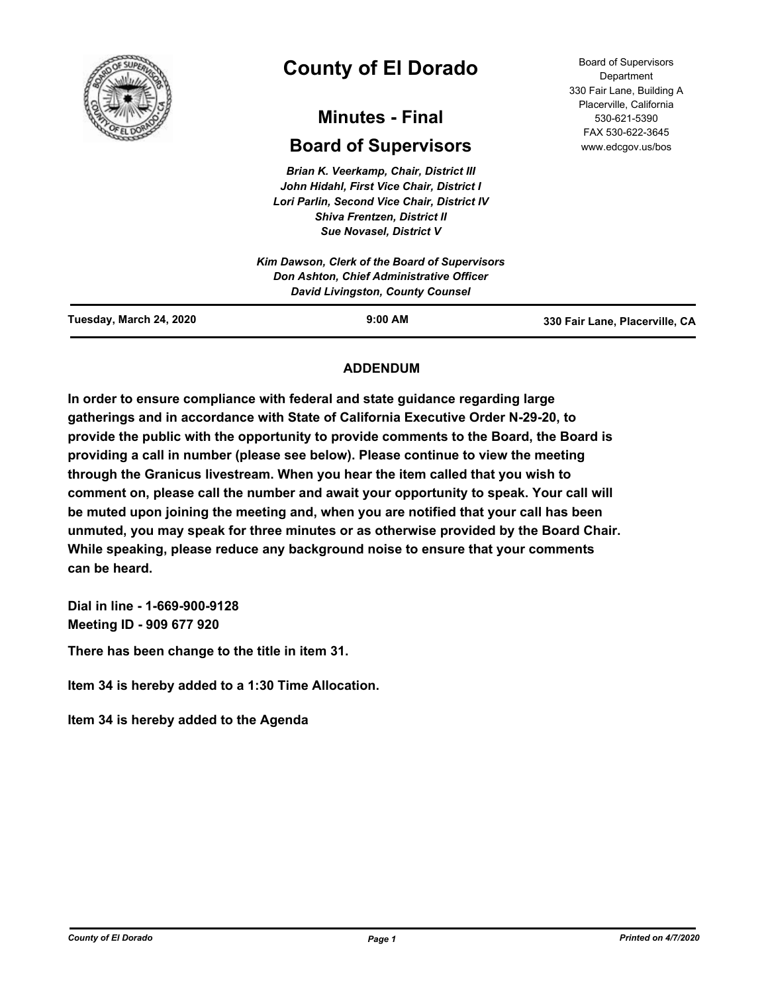

# **County of El Dorado**

## **Minutes - Final**

## **Board of Supervisors**

*Brian K. Veerkamp, Chair, District III John Hidahl, First Vice Chair, District I Lori Parlin, Second Vice Chair, District IV Shiva Frentzen, District II Sue Novasel, District V*

Board of Supervisors Department 330 Fair Lane, Building A Placerville, California 530-621-5390 FAX 530-622-3645 www.edcgov.us/bos

| Tuesday, March 24, 2020 | $9:00$ AM                                                                           | 330 Fair Lane, Placerville, CA |
|-------------------------|-------------------------------------------------------------------------------------|--------------------------------|
|                         | Don Ashton, Chief Administrative Officer<br><b>David Livingston, County Counsel</b> |                                |
|                         | Kim Dawson, Clerk of the Board of Supervisors                                       |                                |
|                         |                                                                                     |                                |

## **ADDENDUM**

**In order to ensure compliance with federal and state guidance regarding large gatherings and in accordance with State of California Executive Order N-29-20, to provide the public with the opportunity to provide comments to the Board, the Board is providing a call in number (please see below). Please continue to view the meeting through the Granicus livestream. When you hear the item called that you wish to comment on, please call the number and await your opportunity to speak. Your call will be muted upon joining the meeting and, when you are notified that your call has been unmuted, you may speak for three minutes or as otherwise provided by the Board Chair. While speaking, please reduce any background noise to ensure that your comments can be heard.** 

**Dial in line - 1-669-900-9128 Meeting ID - 909 677 920**

**There has been change to the title in item 31.**

**Item 34 is hereby added to a 1:30 Time Allocation.**

**Item 34 is hereby added to the Agenda**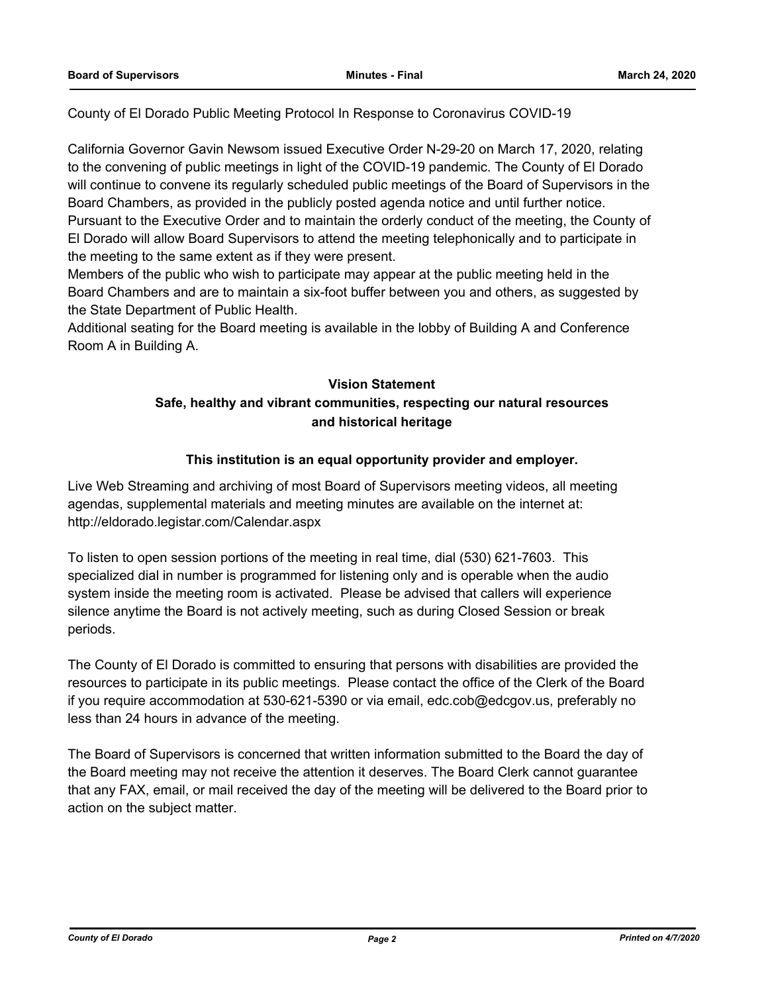County of El Dorado Public Meeting Protocol In Response to Coronavirus COVID-19

California Governor Gavin Newsom issued Executive Order N-29-20 on March 17, 2020, relating to the convening of public meetings in light of the COVID-19 pandemic. The County of El Dorado will continue to convene its regularly scheduled public meetings of the Board of Supervisors in the Board Chambers, as provided in the publicly posted agenda notice and until further notice. Pursuant to the Executive Order and to maintain the orderly conduct of the meeting, the County of El Dorado will allow Board Supervisors to attend the meeting telephonically and to participate in the meeting to the same extent as if they were present.

Members of the public who wish to participate may appear at the public meeting held in the Board Chambers and are to maintain a six-foot buffer between you and others, as suggested by the State Department of Public Health.

Additional seating for the Board meeting is available in the lobby of Building A and Conference Room A in Building A.

## **Vision Statement**

## **Safe, healthy and vibrant communities, respecting our natural resources and historical heritage**

## **This institution is an equal opportunity provider and employer.**

Live Web Streaming and archiving of most Board of Supervisors meeting videos, all meeting agendas, supplemental materials and meeting minutes are available on the internet at: http://eldorado.legistar.com/Calendar.aspx

To listen to open session portions of the meeting in real time, dial (530) 621-7603. This specialized dial in number is programmed for listening only and is operable when the audio system inside the meeting room is activated. Please be advised that callers will experience silence anytime the Board is not actively meeting, such as during Closed Session or break periods.

The County of El Dorado is committed to ensuring that persons with disabilities are provided the resources to participate in its public meetings. Please contact the office of the Clerk of the Board if you require accommodation at 530-621-5390 or via email, edc.cob@edcgov.us, preferably no less than 24 hours in advance of the meeting.

The Board of Supervisors is concerned that written information submitted to the Board the day of the Board meeting may not receive the attention it deserves. The Board Clerk cannot guarantee that any FAX, email, or mail received the day of the meeting will be delivered to the Board prior to action on the subject matter.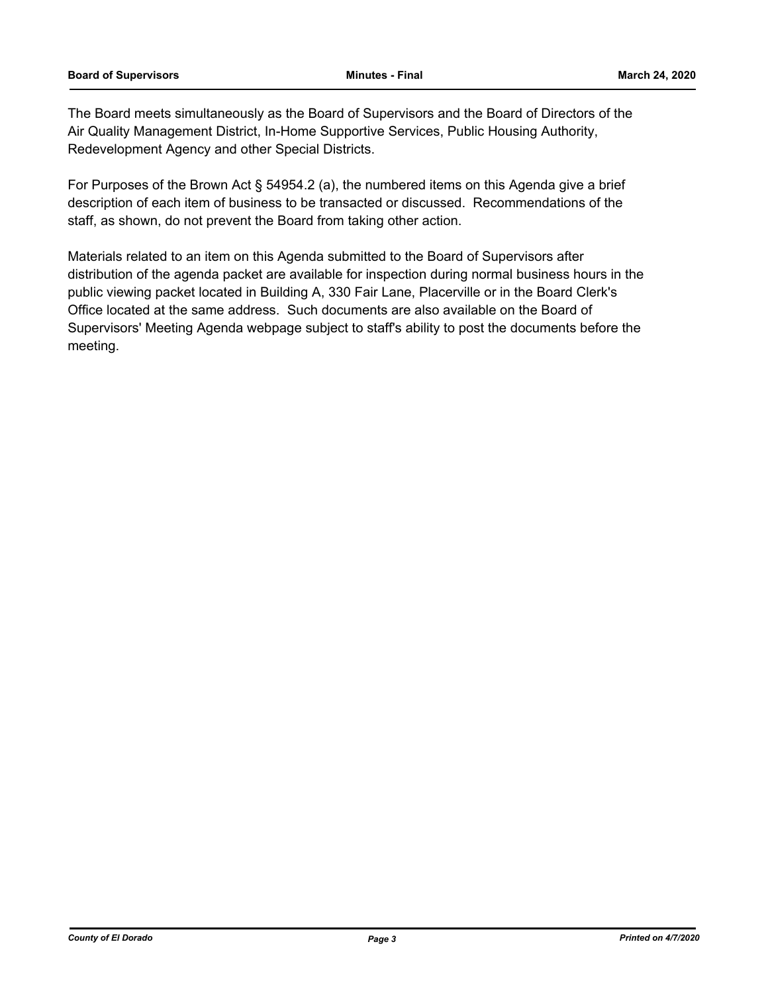The Board meets simultaneously as the Board of Supervisors and the Board of Directors of the Air Quality Management District, In-Home Supportive Services, Public Housing Authority, Redevelopment Agency and other Special Districts.

For Purposes of the Brown Act § 54954.2 (a), the numbered items on this Agenda give a brief description of each item of business to be transacted or discussed. Recommendations of the staff, as shown, do not prevent the Board from taking other action.

Materials related to an item on this Agenda submitted to the Board of Supervisors after distribution of the agenda packet are available for inspection during normal business hours in the public viewing packet located in Building A, 330 Fair Lane, Placerville or in the Board Clerk's Office located at the same address. Such documents are also available on the Board of Supervisors' Meeting Agenda webpage subject to staff's ability to post the documents before the meeting.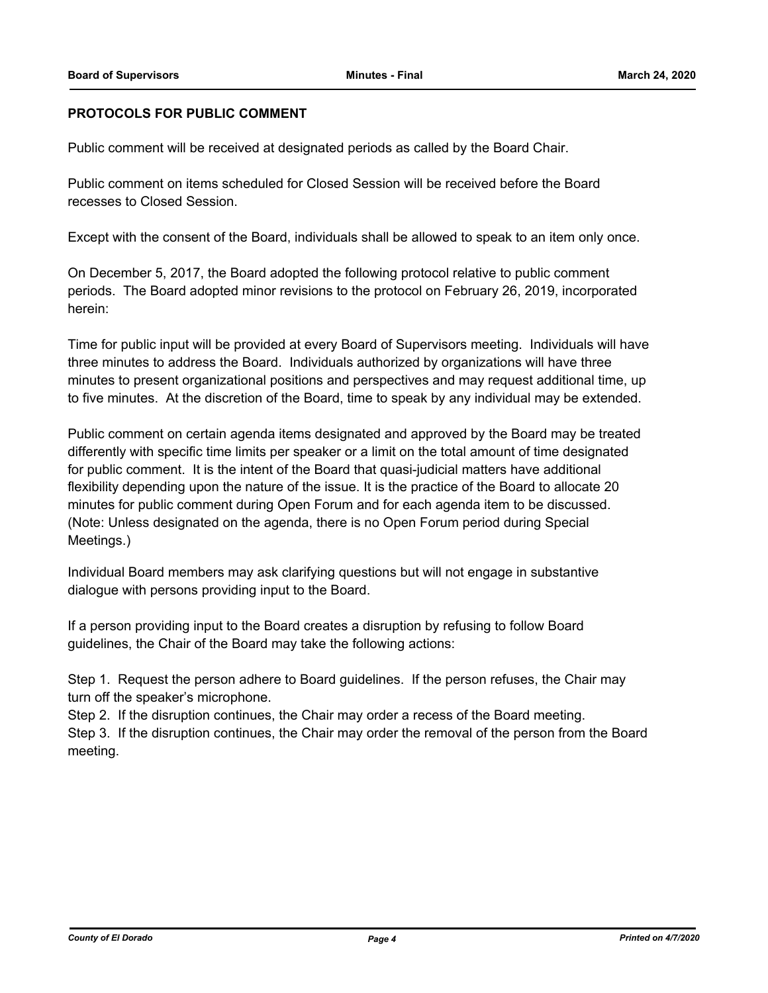## **PROTOCOLS FOR PUBLIC COMMENT**

Public comment will be received at designated periods as called by the Board Chair.

Public comment on items scheduled for Closed Session will be received before the Board recesses to Closed Session.

Except with the consent of the Board, individuals shall be allowed to speak to an item only once.

On December 5, 2017, the Board adopted the following protocol relative to public comment periods. The Board adopted minor revisions to the protocol on February 26, 2019, incorporated herein:

Time for public input will be provided at every Board of Supervisors meeting. Individuals will have three minutes to address the Board. Individuals authorized by organizations will have three minutes to present organizational positions and perspectives and may request additional time, up to five minutes. At the discretion of the Board, time to speak by any individual may be extended.

Public comment on certain agenda items designated and approved by the Board may be treated differently with specific time limits per speaker or a limit on the total amount of time designated for public comment. It is the intent of the Board that quasi-judicial matters have additional flexibility depending upon the nature of the issue. It is the practice of the Board to allocate 20 minutes for public comment during Open Forum and for each agenda item to be discussed. (Note: Unless designated on the agenda, there is no Open Forum period during Special Meetings.)

Individual Board members may ask clarifying questions but will not engage in substantive dialogue with persons providing input to the Board.

If a person providing input to the Board creates a disruption by refusing to follow Board guidelines, the Chair of the Board may take the following actions:

Step 1. Request the person adhere to Board guidelines. If the person refuses, the Chair may turn off the speaker's microphone.

Step 2. If the disruption continues, the Chair may order a recess of the Board meeting.

Step 3. If the disruption continues, the Chair may order the removal of the person from the Board meeting.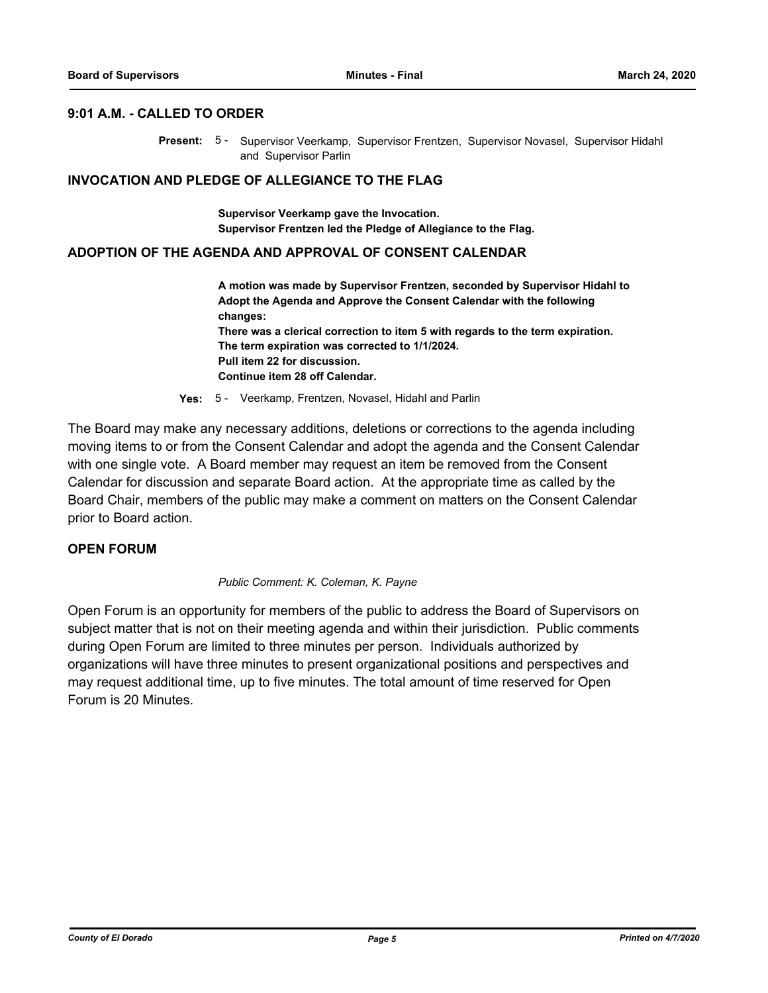## **9:01 A.M. - CALLED TO ORDER**

Present: 5 - Supervisor Veerkamp, Supervisor Frentzen, Supervisor Novasel, Supervisor Hidahl and Supervisor Parlin

#### **INVOCATION AND PLEDGE OF ALLEGIANCE TO THE FLAG**

**Supervisor Veerkamp gave the Invocation. Supervisor Frentzen led the Pledge of Allegiance to the Flag.**

#### **ADOPTION OF THE AGENDA AND APPROVAL OF CONSENT CALENDAR**

**A motion was made by Supervisor Frentzen, seconded by Supervisor Hidahl to Adopt the Agenda and Approve the Consent Calendar with the following changes: There was a clerical correction to item 5 with regards to the term expiration. The term expiration was corrected to 1/1/2024. Pull item 22 for discussion. Continue item 28 off Calendar.**

**Yes:** 5 - Veerkamp, Frentzen, Novasel, Hidahl and Parlin

The Board may make any necessary additions, deletions or corrections to the agenda including moving items to or from the Consent Calendar and adopt the agenda and the Consent Calendar with one single vote. A Board member may request an item be removed from the Consent Calendar for discussion and separate Board action. At the appropriate time as called by the Board Chair, members of the public may make a comment on matters on the Consent Calendar prior to Board action.

#### **OPEN FORUM**

#### *Public Comment: K. Coleman, K. Payne*

Open Forum is an opportunity for members of the public to address the Board of Supervisors on subject matter that is not on their meeting agenda and within their jurisdiction. Public comments during Open Forum are limited to three minutes per person. Individuals authorized by organizations will have three minutes to present organizational positions and perspectives and may request additional time, up to five minutes. The total amount of time reserved for Open Forum is 20 Minutes.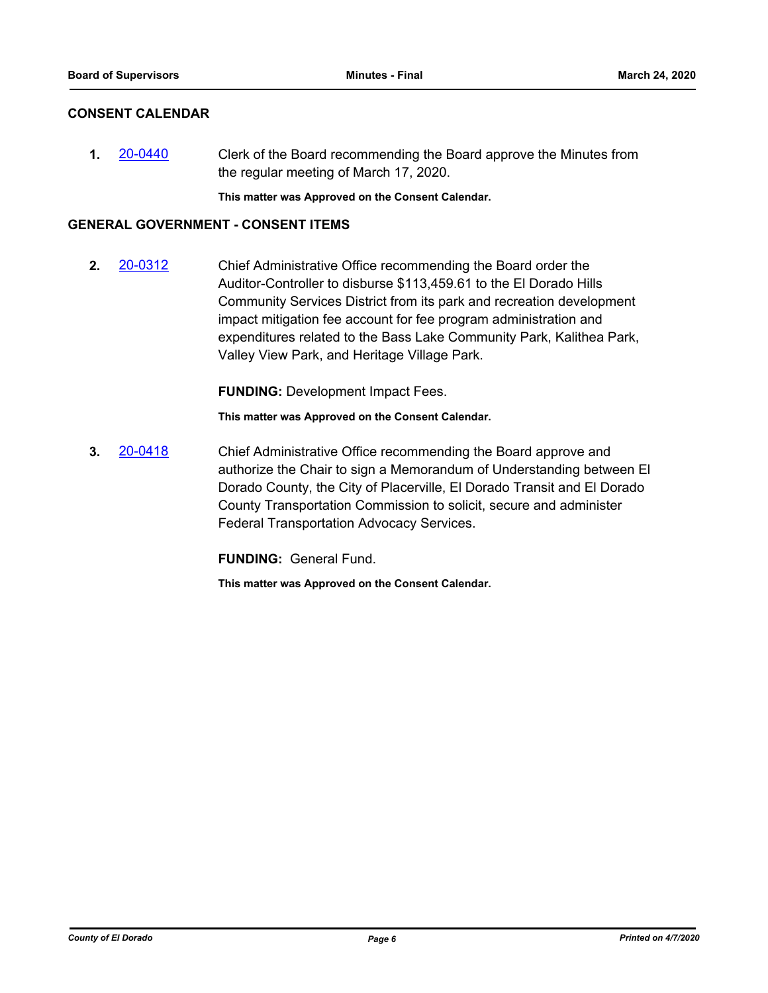## **CONSENT CALENDAR**

**1.** [20-0440](http://eldorado.legistar.com/gateway.aspx?m=l&id=/matter.aspx?key=27646) Clerk of the Board recommending the Board approve the Minutes from the regular meeting of March 17, 2020.

**This matter was Approved on the Consent Calendar.**

#### **GENERAL GOVERNMENT - CONSENT ITEMS**

**2.** [20-0312](http://eldorado.legistar.com/gateway.aspx?m=l&id=/matter.aspx?key=27517) Chief Administrative Office recommending the Board order the Auditor-Controller to disburse \$113,459.61 to the El Dorado Hills Community Services District from its park and recreation development impact mitigation fee account for fee program administration and expenditures related to the Bass Lake Community Park, Kalithea Park, Valley View Park, and Heritage Village Park.

**FUNDING:** Development Impact Fees.

**This matter was Approved on the Consent Calendar.**

**3.** [20-0418](http://eldorado.legistar.com/gateway.aspx?m=l&id=/matter.aspx?key=27624) Chief Administrative Office recommending the Board approve and authorize the Chair to sign a Memorandum of Understanding between El Dorado County, the City of Placerville, El Dorado Transit and El Dorado County Transportation Commission to solicit, secure and administer Federal Transportation Advocacy Services.

**FUNDING:** General Fund.

**This matter was Approved on the Consent Calendar.**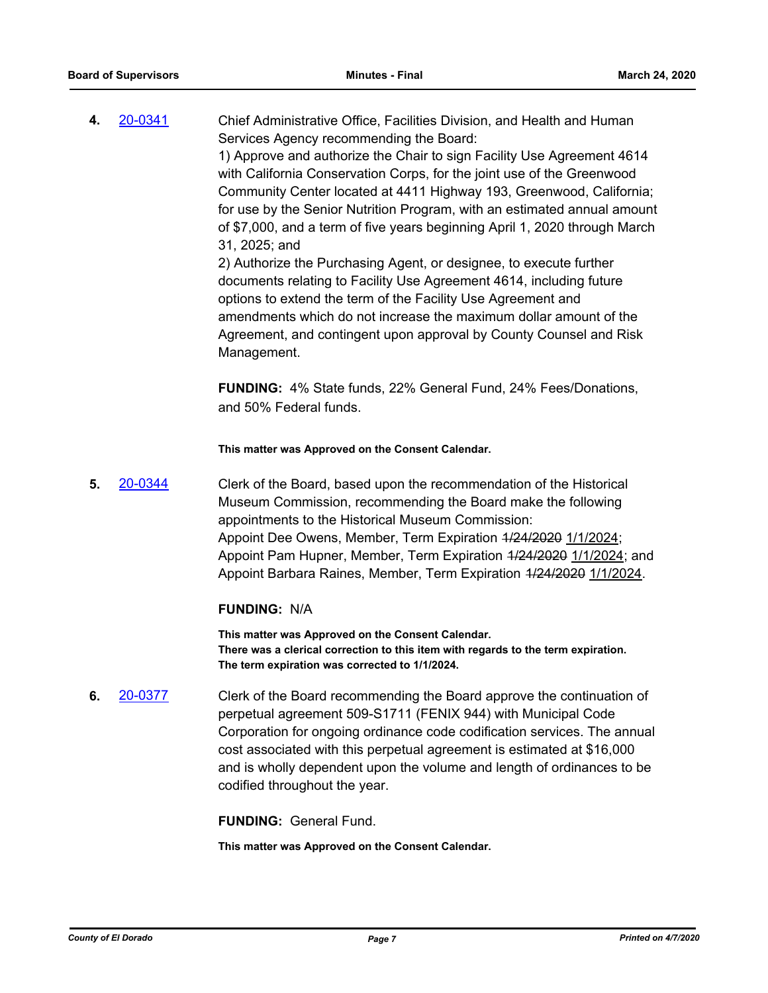**4.** [20-0341](http://eldorado.legistar.com/gateway.aspx?m=l&id=/matter.aspx?key=27546) Chief Administrative Office, Facilities Division, and Health and Human Services Agency recommending the Board: 1) Approve and authorize the Chair to sign Facility Use Agreement 4614 with California Conservation Corps, for the joint use of the Greenwood Community Center located at 4411 Highway 193, Greenwood, California; for use by the Senior Nutrition Program, with an estimated annual amount of \$7,000, and a term of five years beginning April 1, 2020 through March 31, 2025; and 2) Authorize the Purchasing Agent, or designee, to execute further

documents relating to Facility Use Agreement 4614, including future options to extend the term of the Facility Use Agreement and amendments which do not increase the maximum dollar amount of the Agreement, and contingent upon approval by County Counsel and Risk Management.

**FUNDING:** 4% State funds, 22% General Fund, 24% Fees/Donations, and 50% Federal funds.

**This matter was Approved on the Consent Calendar.**

**5.** [20-0344](http://eldorado.legistar.com/gateway.aspx?m=l&id=/matter.aspx?key=27549) Clerk of the Board, based upon the recommendation of the Historical Museum Commission, recommending the Board make the following appointments to the Historical Museum Commission: Appoint Dee Owens, Member, Term Expiration 4/24/2020 1/1/2024; Appoint Pam Hupner, Member, Term Expiration 1/24/2020 1/1/2024; and Appoint Barbara Raines, Member, Term Expiration 1/24/2020 1/1/2024.

## **FUNDING:** N/A

**This matter was Approved on the Consent Calendar. There was a clerical correction to this item with regards to the term expiration. The term expiration was corrected to 1/1/2024.**

**6.** [20-0377](http://eldorado.legistar.com/gateway.aspx?m=l&id=/matter.aspx?key=27582) Clerk of the Board recommending the Board approve the continuation of perpetual agreement 509-S1711 (FENIX 944) with Municipal Code Corporation for ongoing ordinance code codification services. The annual cost associated with this perpetual agreement is estimated at \$16,000 and is wholly dependent upon the volume and length of ordinances to be codified throughout the year.

**FUNDING:** General Fund.

**This matter was Approved on the Consent Calendar.**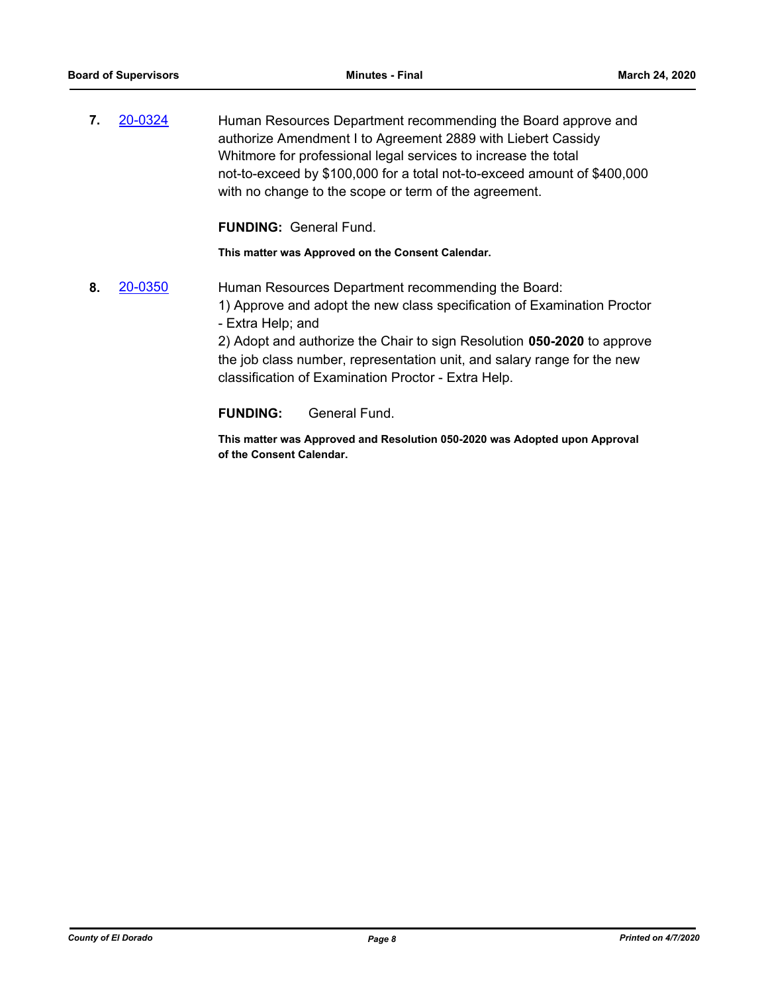**7. [20-0324](http://eldorado.legistar.com/gateway.aspx?m=l&id=/matter.aspx?key=27529)** Human Resources Department recommending the Board approve and authorize Amendment I to Agreement 2889 with Liebert Cassidy Whitmore for professional legal services to increase the total not-to-exceed by \$100,000 for a total not-to-exceed amount of \$400,000 with no change to the scope or term of the agreement.

**FUNDING:** General Fund.

**This matter was Approved on the Consent Calendar.**

**8.** [20-0350](http://eldorado.legistar.com/gateway.aspx?m=l&id=/matter.aspx?key=27555) Human Resources Department recommending the Board: 1) Approve and adopt the new class specification of Examination Proctor - Extra Help; and 2) Adopt and authorize the Chair to sign Resolution **050-2020** to approve the job class number, representation unit, and salary range for the new classification of Examination Proctor - Extra Help.

**FUNDING:** General Fund.

**This matter was Approved and Resolution 050-2020 was Adopted upon Approval of the Consent Calendar.**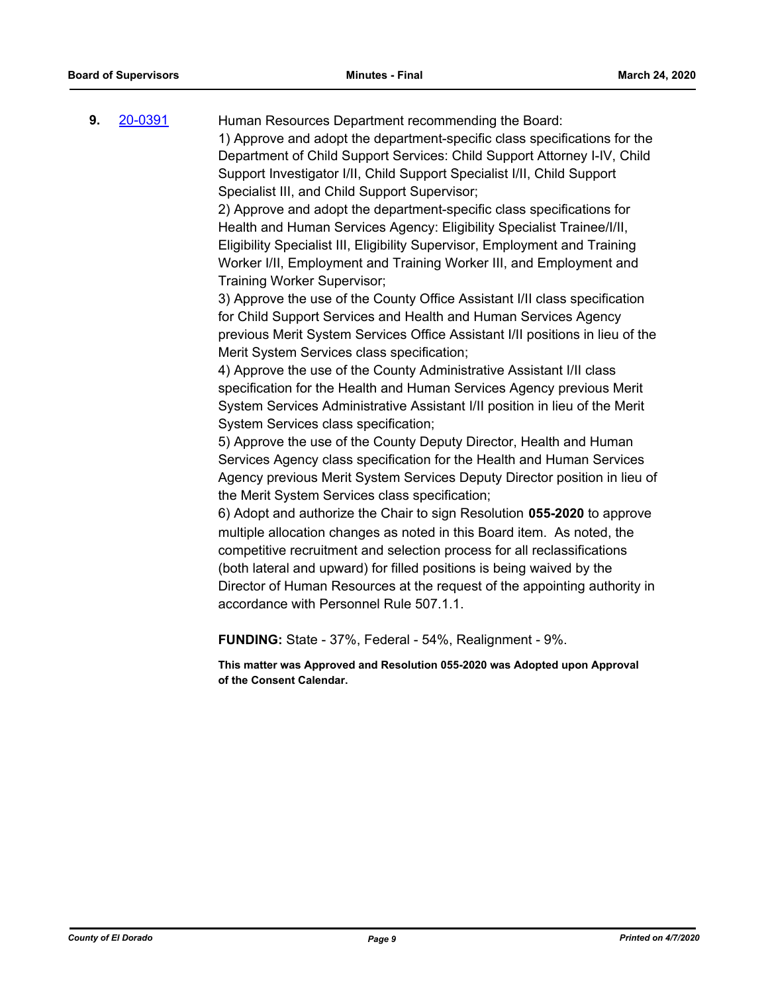**9.** [20-0391](http://eldorado.legistar.com/gateway.aspx?m=l&id=/matter.aspx?key=27596) Human Resources Department recommending the Board: 1) Approve and adopt the department-specific class specifications for the Department of Child Support Services: Child Support Attorney I-IV, Child Support Investigator I/II, Child Support Specialist I/II, Child Support Specialist III, and Child Support Supervisor;

> 2) Approve and adopt the department-specific class specifications for Health and Human Services Agency: Eligibility Specialist Trainee/I/II, Eligibility Specialist III, Eligibility Supervisor, Employment and Training Worker I/II, Employment and Training Worker III, and Employment and Training Worker Supervisor;

3) Approve the use of the County Office Assistant I/II class specification for Child Support Services and Health and Human Services Agency previous Merit System Services Office Assistant I/II positions in lieu of the Merit System Services class specification;

4) Approve the use of the County Administrative Assistant I/II class specification for the Health and Human Services Agency previous Merit System Services Administrative Assistant I/II position in lieu of the Merit System Services class specification;

5) Approve the use of the County Deputy Director, Health and Human Services Agency class specification for the Health and Human Services Agency previous Merit System Services Deputy Director position in lieu of the Merit System Services class specification;

6) Adopt and authorize the Chair to sign Resolution **055-2020** to approve multiple allocation changes as noted in this Board item. As noted, the competitive recruitment and selection process for all reclassifications (both lateral and upward) for filled positions is being waived by the Director of Human Resources at the request of the appointing authority in accordance with Personnel Rule 507.1.1.

**FUNDING:** State - 37%, Federal - 54%, Realignment - 9%.

**This matter was Approved and Resolution 055-2020 was Adopted upon Approval of the Consent Calendar.**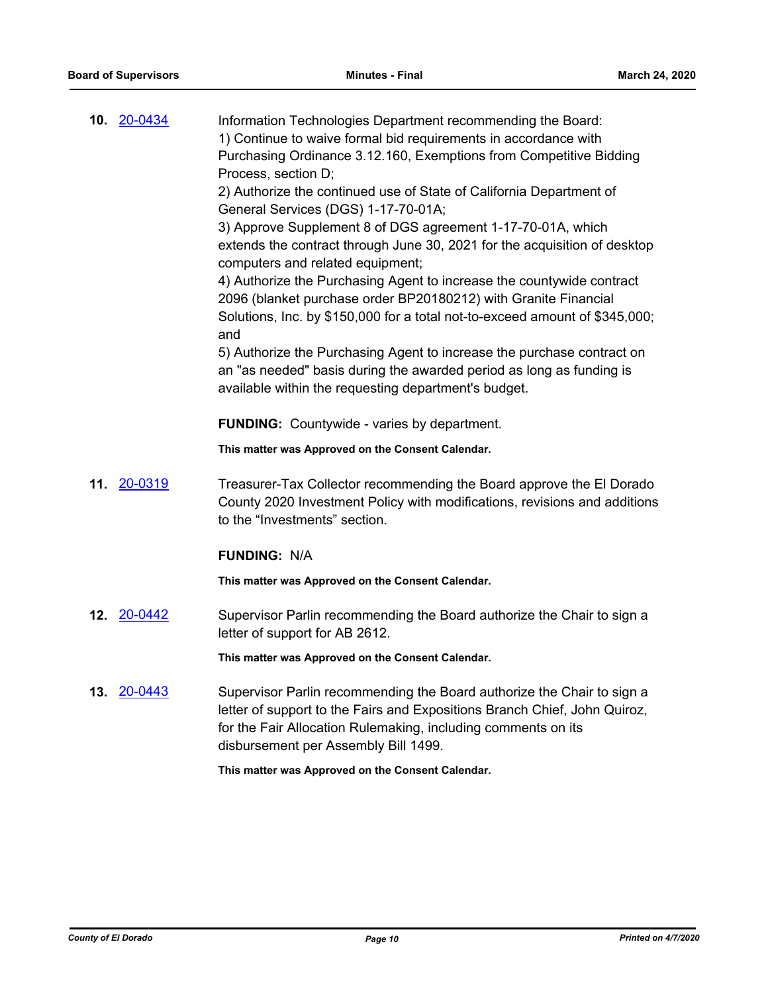| 10. 20-0434           | Information Technologies Department recommending the Board:<br>1) Continue to waive formal bid requirements in accordance with<br>Purchasing Ordinance 3.12.160, Exemptions from Competitive Bidding<br>Process, section D;<br>2) Authorize the continued use of State of California Department of<br>General Services (DGS) 1-17-70-01A;<br>3) Approve Supplement 8 of DGS agreement 1-17-70-01A, which<br>extends the contract through June 30, 2021 for the acquisition of desktop<br>computers and related equipment;<br>4) Authorize the Purchasing Agent to increase the countywide contract<br>2096 (blanket purchase order BP20180212) with Granite Financial<br>Solutions, Inc. by \$150,000 for a total not-to-exceed amount of \$345,000;<br>and<br>5) Authorize the Purchasing Agent to increase the purchase contract on<br>an "as needed" basis during the awarded period as long as funding is<br>available within the requesting department's budget.<br><b>FUNDING:</b> Countywide - varies by department.<br>This matter was Approved on the Consent Calendar. |
|-----------------------|----------------------------------------------------------------------------------------------------------------------------------------------------------------------------------------------------------------------------------------------------------------------------------------------------------------------------------------------------------------------------------------------------------------------------------------------------------------------------------------------------------------------------------------------------------------------------------------------------------------------------------------------------------------------------------------------------------------------------------------------------------------------------------------------------------------------------------------------------------------------------------------------------------------------------------------------------------------------------------------------------------------------------------------------------------------------------------|
| 11. 20-0319           | Treasurer-Tax Collector recommending the Board approve the El Dorado<br>County 2020 Investment Policy with modifications, revisions and additions<br>to the "Investments" section.<br><b>FUNDING: N/A</b>                                                                                                                                                                                                                                                                                                                                                                                                                                                                                                                                                                                                                                                                                                                                                                                                                                                                        |
|                       | This matter was Approved on the Consent Calendar.                                                                                                                                                                                                                                                                                                                                                                                                                                                                                                                                                                                                                                                                                                                                                                                                                                                                                                                                                                                                                                |
| <b>12. 20-0442</b>    | Supervisor Parlin recommending the Board authorize the Chair to sign a<br>letter of support for AB 2612.                                                                                                                                                                                                                                                                                                                                                                                                                                                                                                                                                                                                                                                                                                                                                                                                                                                                                                                                                                         |
|                       | This matter was Approved on the Consent Calendar.                                                                                                                                                                                                                                                                                                                                                                                                                                                                                                                                                                                                                                                                                                                                                                                                                                                                                                                                                                                                                                |
| <u>20-0443</u><br>13. | Supervisor Parlin recommending the Board authorize the Chair to sign a<br>letter of support to the Fairs and Expositions Branch Chief, John Quiroz,<br>for the Fair Allocation Rulemaking, including comments on its<br>disbursement per Assembly Bill 1499.                                                                                                                                                                                                                                                                                                                                                                                                                                                                                                                                                                                                                                                                                                                                                                                                                     |
|                       | This matter was Approved on the Consent Calendar.                                                                                                                                                                                                                                                                                                                                                                                                                                                                                                                                                                                                                                                                                                                                                                                                                                                                                                                                                                                                                                |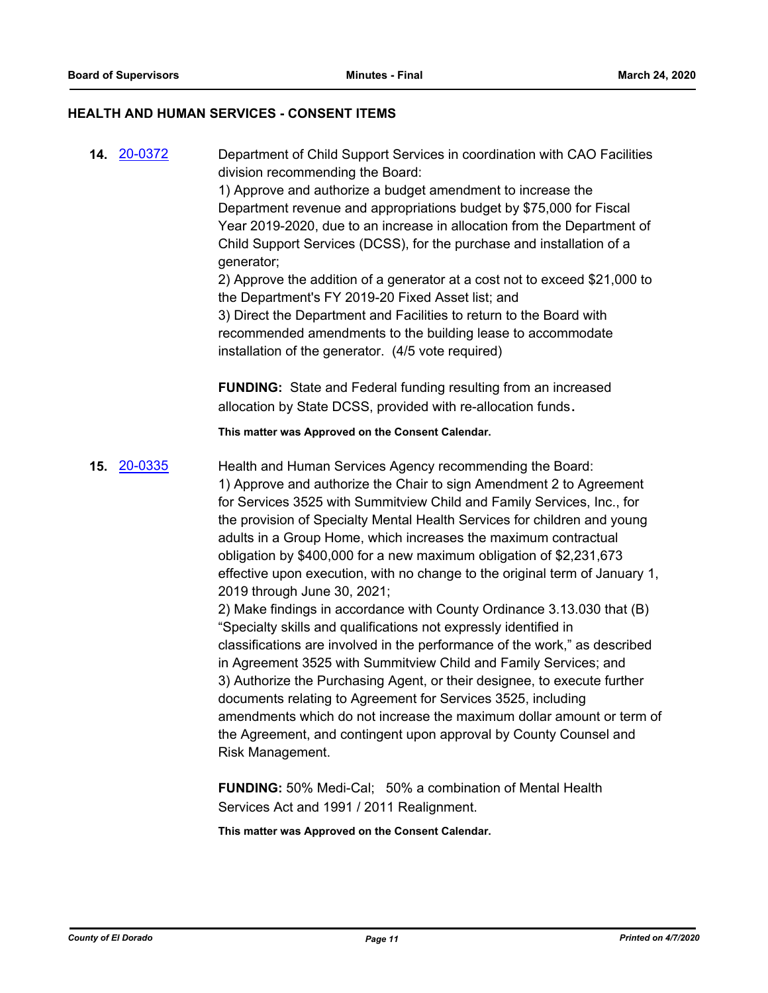#### **HEALTH AND HUMAN SERVICES - CONSENT ITEMS**

**14.** [20-0372](http://eldorado.legistar.com/gateway.aspx?m=l&id=/matter.aspx?key=27577) Department of Child Support Services in coordination with CAO Facilities division recommending the Board:

> 1) Approve and authorize a budget amendment to increase the Department revenue and appropriations budget by \$75,000 for Fiscal Year 2019-2020, due to an increase in allocation from the Department of Child Support Services (DCSS), for the purchase and installation of a generator;

> 2) Approve the addition of a generator at a cost not to exceed \$21,000 to the Department's FY 2019-20 Fixed Asset list; and

3) Direct the Department and Facilities to return to the Board with recommended amendments to the building lease to accommodate installation of the generator. (4/5 vote required)

**FUNDING:** State and Federal funding resulting from an increased allocation by State DCSS, provided with re-allocation funds**.**

**This matter was Approved on the Consent Calendar.**

**15.** [20-0335](http://eldorado.legistar.com/gateway.aspx?m=l&id=/matter.aspx?key=27540) Health and Human Services Agency recommending the Board: 1) Approve and authorize the Chair to sign Amendment 2 to Agreement for Services 3525 with Summitview Child and Family Services, Inc., for the provision of Specialty Mental Health Services for children and young

adults in a Group Home, which increases the maximum contractual obligation by \$400,000 for a new maximum obligation of \$2,231,673 effective upon execution, with no change to the original term of January 1, 2019 through June 30, 2021;

2) Make findings in accordance with County Ordinance 3.13.030 that (B) "Specialty skills and qualifications not expressly identified in classifications are involved in the performance of the work," as described in Agreement 3525 with Summitview Child and Family Services; and 3) Authorize the Purchasing Agent, or their designee, to execute further documents relating to Agreement for Services 3525, including amendments which do not increase the maximum dollar amount or term of the Agreement, and contingent upon approval by County Counsel and Risk Management.

**FUNDING:** 50% Medi-Cal; 50% a combination of Mental Health Services Act and 1991 / 2011 Realignment.

**This matter was Approved on the Consent Calendar.**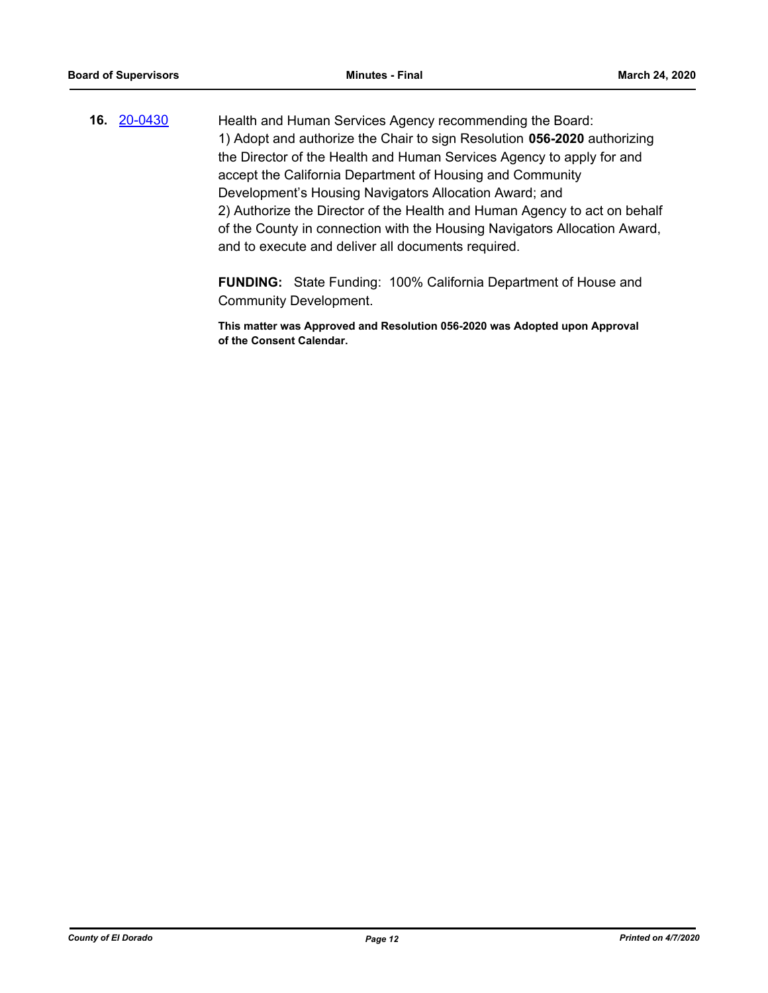**16.** [20-0430](http://eldorado.legistar.com/gateway.aspx?m=l&id=/matter.aspx?key=27636) Health and Human Services Agency recommending the Board: 1) Adopt and authorize the Chair to sign Resolution **056-2020** authorizing the Director of the Health and Human Services Agency to apply for and accept the California Department of Housing and Community Development's Housing Navigators Allocation Award; and 2) Authorize the Director of the Health and Human Agency to act on behalf of the County in connection with the Housing Navigators Allocation Award, and to execute and deliver all documents required.

> **FUNDING:** State Funding: 100% California Department of House and Community Development.

> **This matter was Approved and Resolution 056-2020 was Adopted upon Approval of the Consent Calendar.**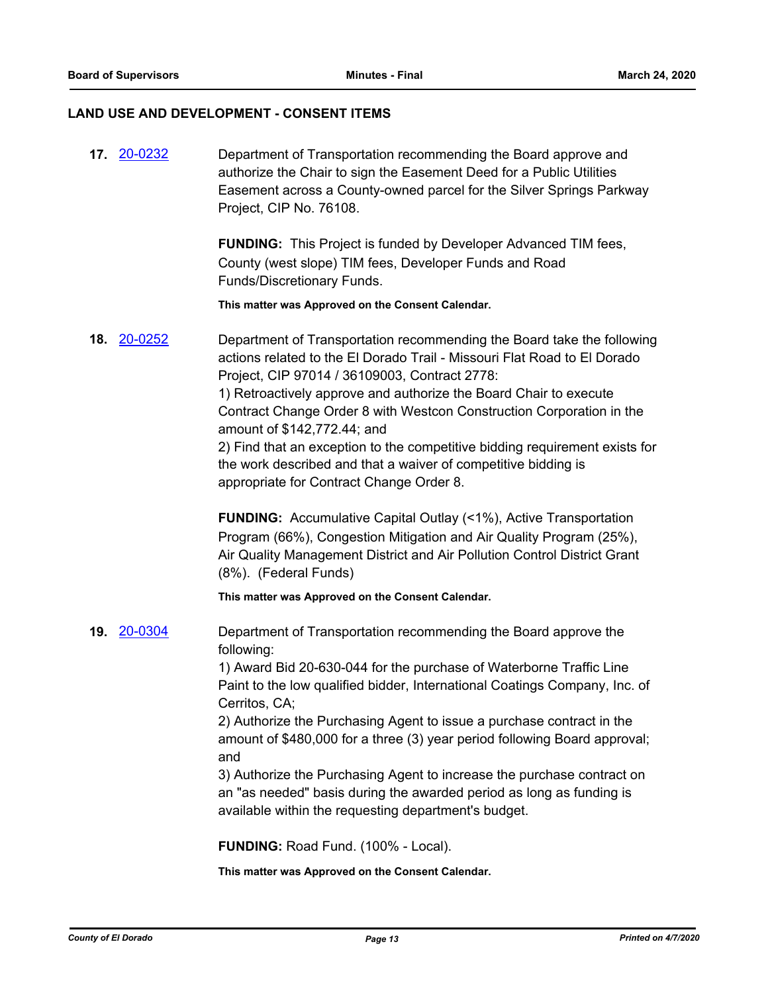## **LAND USE AND DEVELOPMENT - CONSENT ITEMS**

| <b>FUNDING:</b> This Project is funded by Developer Advanced TIM fees,<br>County (west slope) TIM fees, Developer Funds and Road<br>Funds/Discretionary Funds.<br>This matter was Approved on the Consent Calendar.<br>Department of Transportation recommending the Board take the following<br>actions related to the El Dorado Trail - Missouri Flat Road to El Dorado<br>Project, CIP 97014 / 36109003, Contract 2778:<br>1) Retroactively approve and authorize the Board Chair to execute<br>Contract Change Order 8 with Westcon Construction Corporation in the<br>amount of \$142,772.44; and<br>2) Find that an exception to the competitive bidding requirement exists for |
|---------------------------------------------------------------------------------------------------------------------------------------------------------------------------------------------------------------------------------------------------------------------------------------------------------------------------------------------------------------------------------------------------------------------------------------------------------------------------------------------------------------------------------------------------------------------------------------------------------------------------------------------------------------------------------------|
|                                                                                                                                                                                                                                                                                                                                                                                                                                                                                                                                                                                                                                                                                       |
|                                                                                                                                                                                                                                                                                                                                                                                                                                                                                                                                                                                                                                                                                       |
| the work described and that a waiver of competitive bidding is<br>appropriate for Contract Change Order 8.                                                                                                                                                                                                                                                                                                                                                                                                                                                                                                                                                                            |
| <b>FUNDING:</b> Accumulative Capital Outlay (<1%), Active Transportation<br>Program (66%), Congestion Mitigation and Air Quality Program (25%),<br>Air Quality Management District and Air Pollution Control District Grant<br>(8%). (Federal Funds)                                                                                                                                                                                                                                                                                                                                                                                                                                  |
| This matter was Approved on the Consent Calendar.                                                                                                                                                                                                                                                                                                                                                                                                                                                                                                                                                                                                                                     |
| Department of Transportation recommending the Board approve the<br>following:<br>1) Award Bid 20-630-044 for the purchase of Waterborne Traffic Line<br>Paint to the low qualified bidder, International Coatings Company, Inc. of<br>Cerritos, CA;<br>2) Authorize the Purchasing Agent to issue a purchase contract in the<br>amount of \$480,000 for a three (3) year period following Board approval;<br>and<br>3) Authorize the Purchasing Agent to increase the purchase contract on<br>an "as needed" basis during the awarded period as long as funding is<br>available within the requesting department's budget.<br>FUNDING: Road Fund. (100% - Local).                     |
|                                                                                                                                                                                                                                                                                                                                                                                                                                                                                                                                                                                                                                                                                       |

**This matter was Approved on the Consent Calendar.**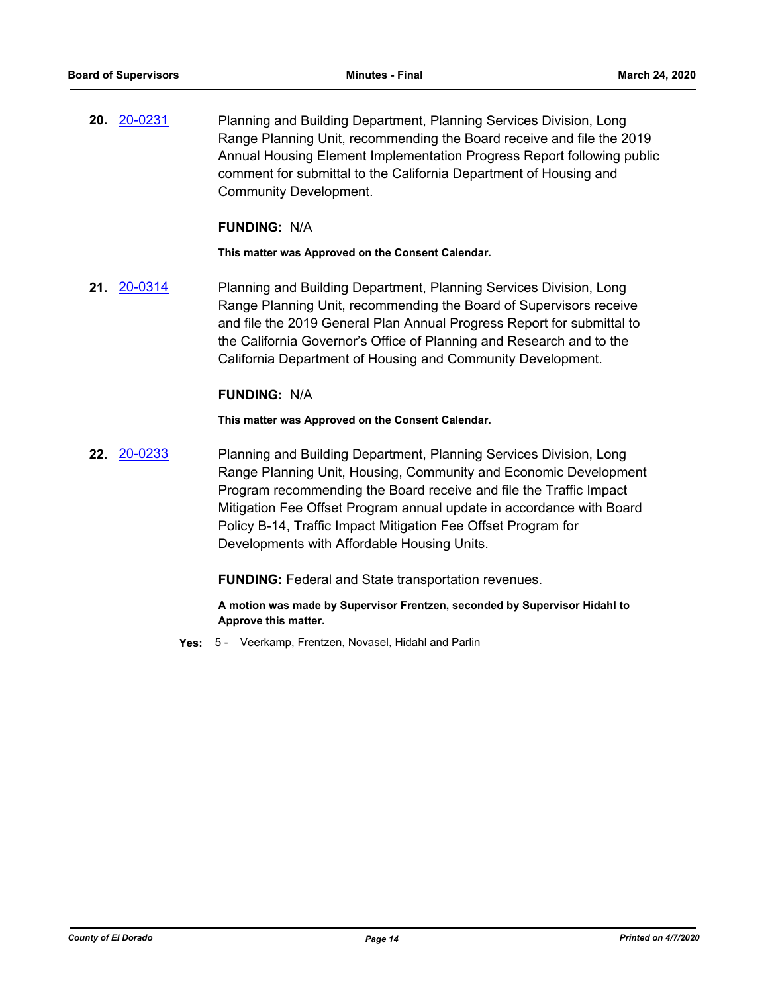**20.** [20-0231](http://eldorado.legistar.com/gateway.aspx?m=l&id=/matter.aspx?key=27436) Planning and Building Department, Planning Services Division, Long Range Planning Unit, recommending the Board receive and file the 2019 Annual Housing Element Implementation Progress Report following public comment for submittal to the California Department of Housing and Community Development.

#### **FUNDING:** N/A

**This matter was Approved on the Consent Calendar.**

**21.** [20-0314](http://eldorado.legistar.com/gateway.aspx?m=l&id=/matter.aspx?key=27519) Planning and Building Department, Planning Services Division, Long Range Planning Unit, recommending the Board of Supervisors receive and file the 2019 General Plan Annual Progress Report for submittal to the California Governor's Office of Planning and Research and to the California Department of Housing and Community Development.

#### **FUNDING:** N/A

**This matter was Approved on the Consent Calendar.**

**22.** [20-0233](http://eldorado.legistar.com/gateway.aspx?m=l&id=/matter.aspx?key=27438) Planning and Building Department, Planning Services Division, Long Range Planning Unit, Housing, Community and Economic Development Program recommending the Board receive and file the Traffic Impact Mitigation Fee Offset Program annual update in accordance with Board Policy B-14, Traffic Impact Mitigation Fee Offset Program for Developments with Affordable Housing Units.

**FUNDING:** Federal and State transportation revenues.

**A motion was made by Supervisor Frentzen, seconded by Supervisor Hidahl to Approve this matter.**

**Yes:** 5 - Veerkamp, Frentzen, Novasel, Hidahl and Parlin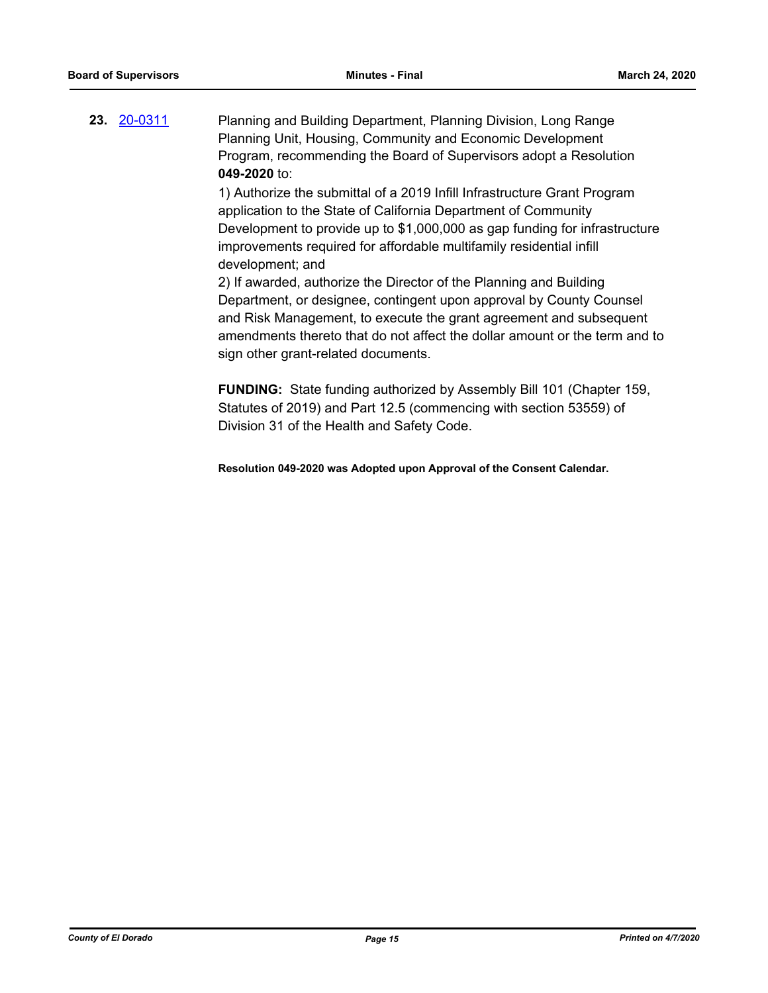**23.** [20-0311](http://eldorado.legistar.com/gateway.aspx?m=l&id=/matter.aspx?key=27516) Planning and Building Department, Planning Division, Long Range Planning Unit, Housing, Community and Economic Development Program, recommending the Board of Supervisors adopt a Resolution **049-2020** to:

> 1) Authorize the submittal of a 2019 Infill Infrastructure Grant Program application to the State of California Department of Community Development to provide up to \$1,000,000 as gap funding for infrastructure improvements required for affordable multifamily residential infill development; and

2) If awarded, authorize the Director of the Planning and Building Department, or designee, contingent upon approval by County Counsel and Risk Management, to execute the grant agreement and subsequent amendments thereto that do not affect the dollar amount or the term and to sign other grant-related documents.

**FUNDING:** State funding authorized by Assembly Bill 101 (Chapter 159, Statutes of 2019) and Part 12.5 (commencing with section 53559) of Division 31 of the Health and Safety Code.

**Resolution 049-2020 was Adopted upon Approval of the Consent Calendar.**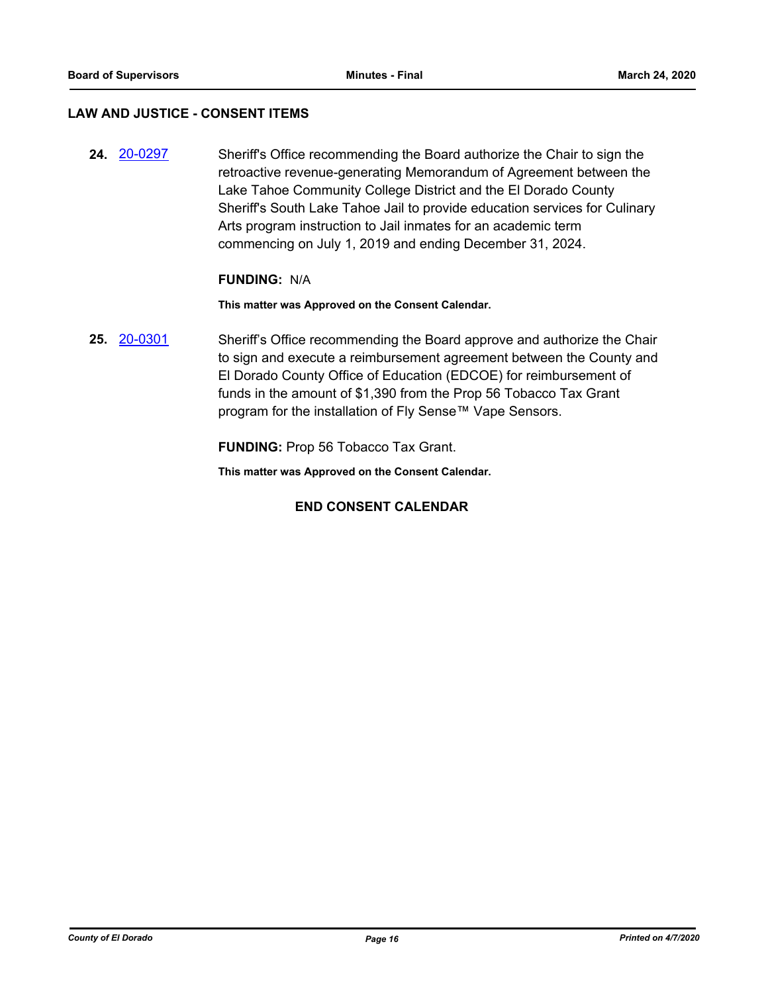## **LAW AND JUSTICE - CONSENT ITEMS**

**24.** [20-0297](http://eldorado.legistar.com/gateway.aspx?m=l&id=/matter.aspx?key=27502) Sheriff's Office recommending the Board authorize the Chair to sign the retroactive revenue-generating Memorandum of Agreement between the Lake Tahoe Community College District and the El Dorado County Sheriff's South Lake Tahoe Jail to provide education services for Culinary Arts program instruction to Jail inmates for an academic term commencing on July 1, 2019 and ending December 31, 2024.

#### **FUNDING:** N/A

**This matter was Approved on the Consent Calendar.**

**25.** [20-0301](http://eldorado.legistar.com/gateway.aspx?m=l&id=/matter.aspx?key=27506) Sheriff's Office recommending the Board approve and authorize the Chair to sign and execute a reimbursement agreement between the County and El Dorado County Office of Education (EDCOE) for reimbursement of funds in the amount of \$1,390 from the Prop 56 Tobacco Tax Grant program for the installation of Fly Sense™ Vape Sensors.

**FUNDING:** Prop 56 Tobacco Tax Grant.

**This matter was Approved on the Consent Calendar.**

## **END CONSENT CALENDAR**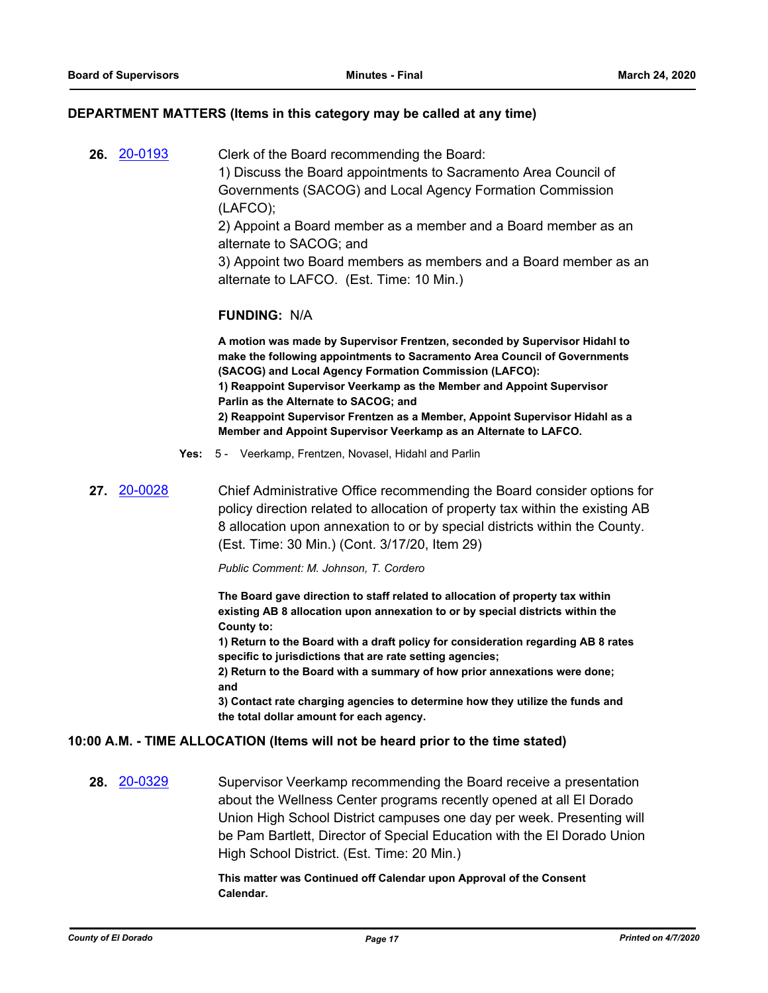#### **DEPARTMENT MATTERS (Items in this category may be called at any time)**

**26.** [20-0193](http://eldorado.legistar.com/gateway.aspx?m=l&id=/matter.aspx?key=27398) Clerk of the Board recommending the Board: 1) Discuss the Board appointments to Sacramento Area Council of Governments (SACOG) and Local Agency Formation Commission (LAFCO); 2) Appoint a Board member as a member and a Board member as an alternate to SACOG; and

> 3) Appoint two Board members as members and a Board member as an alternate to LAFCO. (Est. Time: 10 Min.)

#### **FUNDING:** N/A

**A motion was made by Supervisor Frentzen, seconded by Supervisor Hidahl to make the following appointments to Sacramento Area Council of Governments (SACOG) and Local Agency Formation Commission (LAFCO): 1) Reappoint Supervisor Veerkamp as the Member and Appoint Supervisor Parlin as the Alternate to SACOG; and 2) Reappoint Supervisor Frentzen as a Member, Appoint Supervisor Hidahl as a Member and Appoint Supervisor Veerkamp as an Alternate to LAFCO.**

- **Yes:** 5 Veerkamp, Frentzen, Novasel, Hidahl and Parlin
- **27.** [20-0028](http://eldorado.legistar.com/gateway.aspx?m=l&id=/matter.aspx?key=27232) Chief Administrative Office recommending the Board consider options for policy direction related to allocation of property tax within the existing AB 8 allocation upon annexation to or by special districts within the County. (Est. Time: 30 Min.) (Cont. 3/17/20, Item 29)

*Public Comment: M. Johnson, T. Cordero*

**The Board gave direction to staff related to allocation of property tax within existing AB 8 allocation upon annexation to or by special districts within the County to:**

**1) Return to the Board with a draft policy for consideration regarding AB 8 rates specific to jurisdictions that are rate setting agencies;**

**2) Return to the Board with a summary of how prior annexations were done; and**

**3) Contact rate charging agencies to determine how they utilize the funds and the total dollar amount for each agency.**

## **10:00 A.M. - TIME ALLOCATION (Items will not be heard prior to the time stated)**

**28.** [20-0329](http://eldorado.legistar.com/gateway.aspx?m=l&id=/matter.aspx?key=27534) Supervisor Veerkamp recommending the Board receive a presentation about the Wellness Center programs recently opened at all El Dorado Union High School District campuses one day per week. Presenting will be Pam Bartlett, Director of Special Education with the El Dorado Union High School District. (Est. Time: 20 Min.)

> **This matter was Continued off Calendar upon Approval of the Consent Calendar.**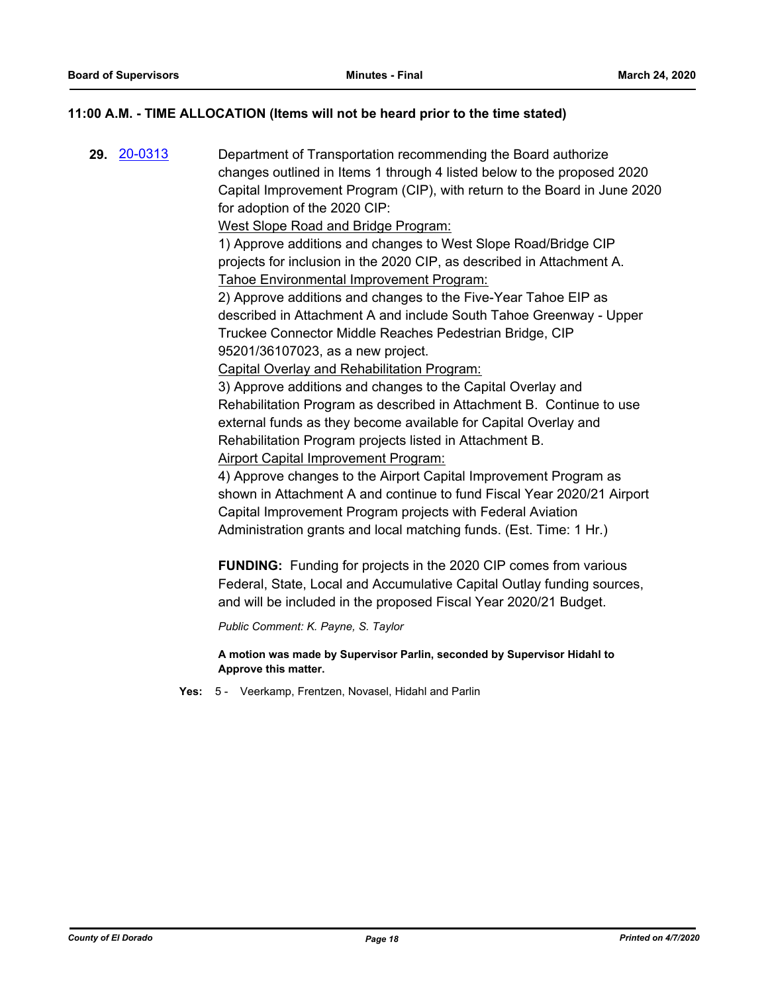## **11:00 A.M. - TIME ALLOCATION (Items will not be heard prior to the time stated)**

**29.** [20-0313](http://eldorado.legistar.com/gateway.aspx?m=l&id=/matter.aspx?key=27518) Department of Transportation recommending the Board authorize changes outlined in Items 1 through 4 listed below to the proposed 2020 Capital Improvement Program (CIP), with return to the Board in June 2020 for adoption of the 2020 CIP: West Slope Road and Bridge Program: 1) Approve additions and changes to West Slope Road/Bridge CIP projects for inclusion in the 2020 CIP, as described in Attachment A. Tahoe Environmental Improvement Program: 2) Approve additions and changes to the Five-Year Tahoe EIP as described in Attachment A and include South Tahoe Greenway - Upper Truckee Connector Middle Reaches Pedestrian Bridge, CIP 95201/36107023, as a new project. Capital Overlay and Rehabilitation Program: 3) Approve additions and changes to the Capital Overlay and Rehabilitation Program as described in Attachment B. Continue to use external funds as they become available for Capital Overlay and Rehabilitation Program projects listed in Attachment B. Airport Capital Improvement Program: 4) Approve changes to the Airport Capital Improvement Program as shown in Attachment A and continue to fund Fiscal Year 2020/21 Airport Capital Improvement Program projects with Federal Aviation Administration grants and local matching funds. (Est. Time: 1 Hr.) **FUNDING:** Funding for projects in the 2020 CIP comes from various Federal, State, Local and Accumulative Capital Outlay funding sources, and will be included in the proposed Fiscal Year 2020/21 Budget.

*Public Comment: K. Payne, S. Taylor*

**A motion was made by Supervisor Parlin, seconded by Supervisor Hidahl to Approve this matter.**

**Yes:** 5 - Veerkamp, Frentzen, Novasel, Hidahl and Parlin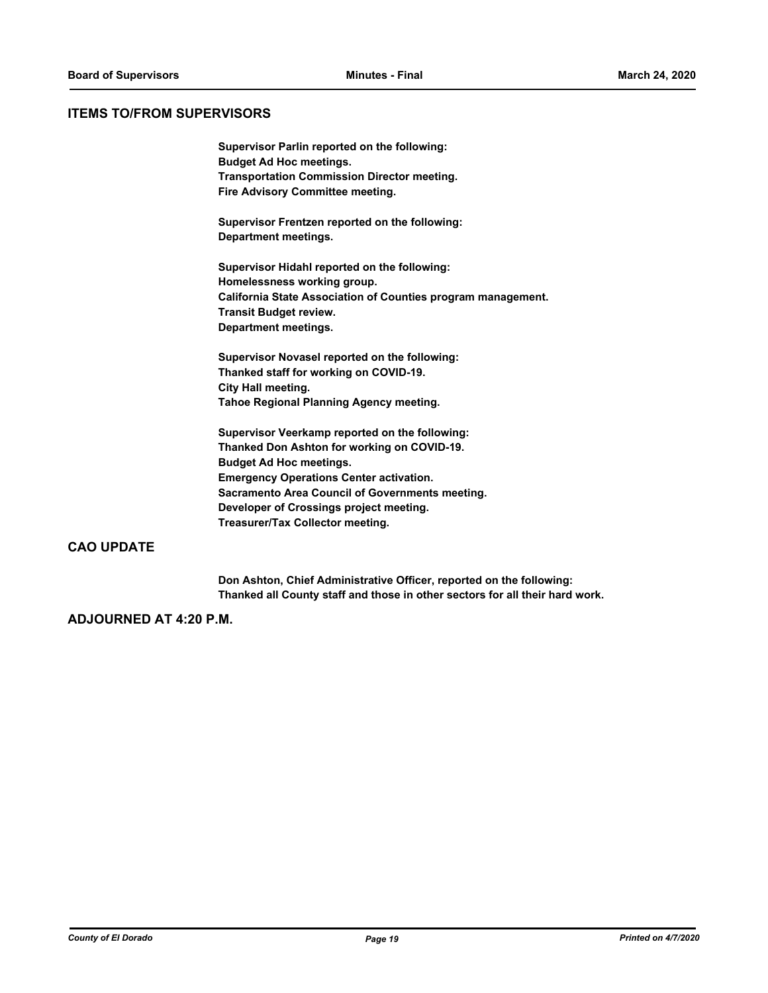#### **ITEMS TO/FROM SUPERVISORS**

**Supervisor Parlin reported on the following: Budget Ad Hoc meetings. Transportation Commission Director meeting. Fire Advisory Committee meeting.**

**Supervisor Frentzen reported on the following: Department meetings.**

**Supervisor Hidahl reported on the following: Homelessness working group. California State Association of Counties program management. Transit Budget review. Department meetings.**

**Supervisor Novasel reported on the following: Thanked staff for working on COVID-19. City Hall meeting. Tahoe Regional Planning Agency meeting.**

**Supervisor Veerkamp reported on the following: Thanked Don Ashton for working on COVID-19. Budget Ad Hoc meetings. Emergency Operations Center activation. Sacramento Area Council of Governments meeting. Developer of Crossings project meeting. Treasurer/Tax Collector meeting.**

## **CAO UPDATE**

**Don Ashton, Chief Administrative Officer, reported on the following: Thanked all County staff and those in other sectors for all their hard work.**

#### **ADJOURNED AT 4:20 P.M.**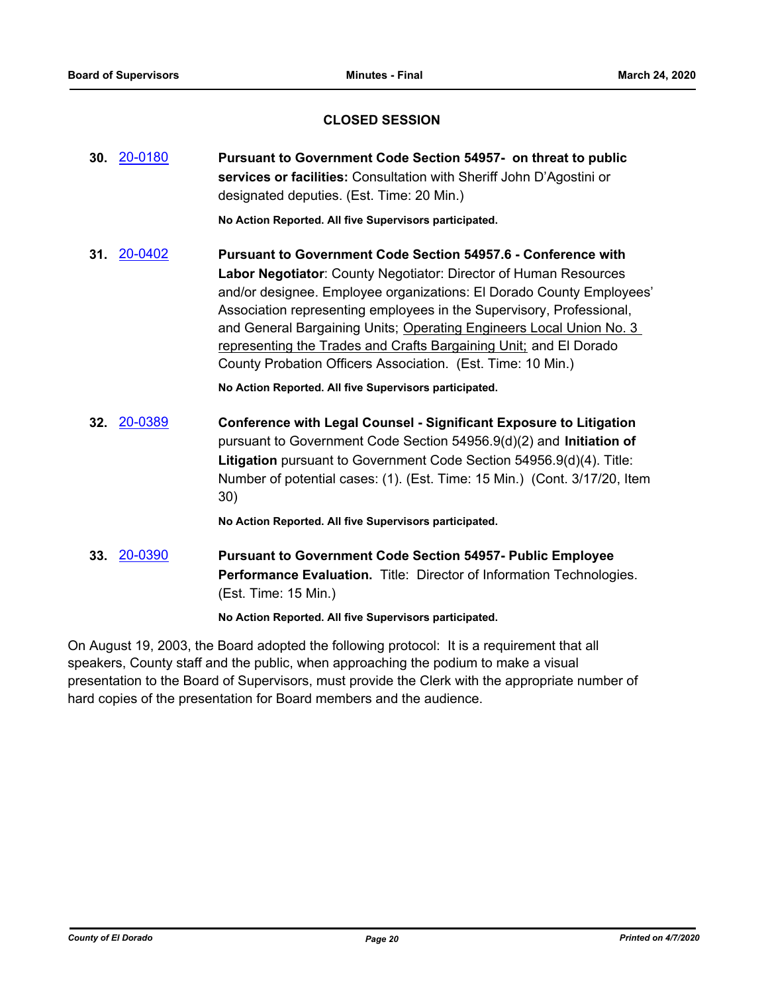## **CLOSED SESSION**

|     | 30. 20-0180 | Pursuant to Government Code Section 54957- on threat to public<br>services or facilities: Consultation with Sheriff John D'Agostini or<br>designated deputies. (Est. Time: 20 Min.)                                                                                                                                                                                                                                                                                                          |
|-----|-------------|----------------------------------------------------------------------------------------------------------------------------------------------------------------------------------------------------------------------------------------------------------------------------------------------------------------------------------------------------------------------------------------------------------------------------------------------------------------------------------------------|
|     |             | No Action Reported. All five Supervisors participated.                                                                                                                                                                                                                                                                                                                                                                                                                                       |
| 31. | 20-0402     | Pursuant to Government Code Section 54957.6 - Conference with<br>Labor Negotiator: County Negotiator: Director of Human Resources<br>and/or designee. Employee organizations: El Dorado County Employees'<br>Association representing employees in the Supervisory, Professional,<br>and General Bargaining Units; Operating Engineers Local Union No. 3<br>representing the Trades and Crafts Bargaining Unit; and El Dorado<br>County Probation Officers Association. (Est. Time: 10 Min.) |
|     |             | No Action Reported. All five Supervisors participated.                                                                                                                                                                                                                                                                                                                                                                                                                                       |
|     | 32. 20-0389 | <b>Conference with Legal Counsel - Significant Exposure to Litigation</b><br>pursuant to Government Code Section 54956.9(d)(2) and Initiation of<br>Litigation pursuant to Government Code Section 54956.9(d)(4). Title:<br>Number of potential cases: (1). (Est. Time: 15 Min.) (Cont. 3/17/20, Item<br>30)                                                                                                                                                                                 |
|     |             | No Action Reported. All five Supervisors participated.                                                                                                                                                                                                                                                                                                                                                                                                                                       |
|     | 33. 20-0390 | <b>Pursuant to Government Code Section 54957- Public Employee</b><br>Performance Evaluation. Title: Director of Information Technologies.<br>(Est. Time: 15 Min.)                                                                                                                                                                                                                                                                                                                            |

**No Action Reported. All five Supervisors participated.**

On August 19, 2003, the Board adopted the following protocol: It is a requirement that all speakers, County staff and the public, when approaching the podium to make a visual presentation to the Board of Supervisors, must provide the Clerk with the appropriate number of hard copies of the presentation for Board members and the audience.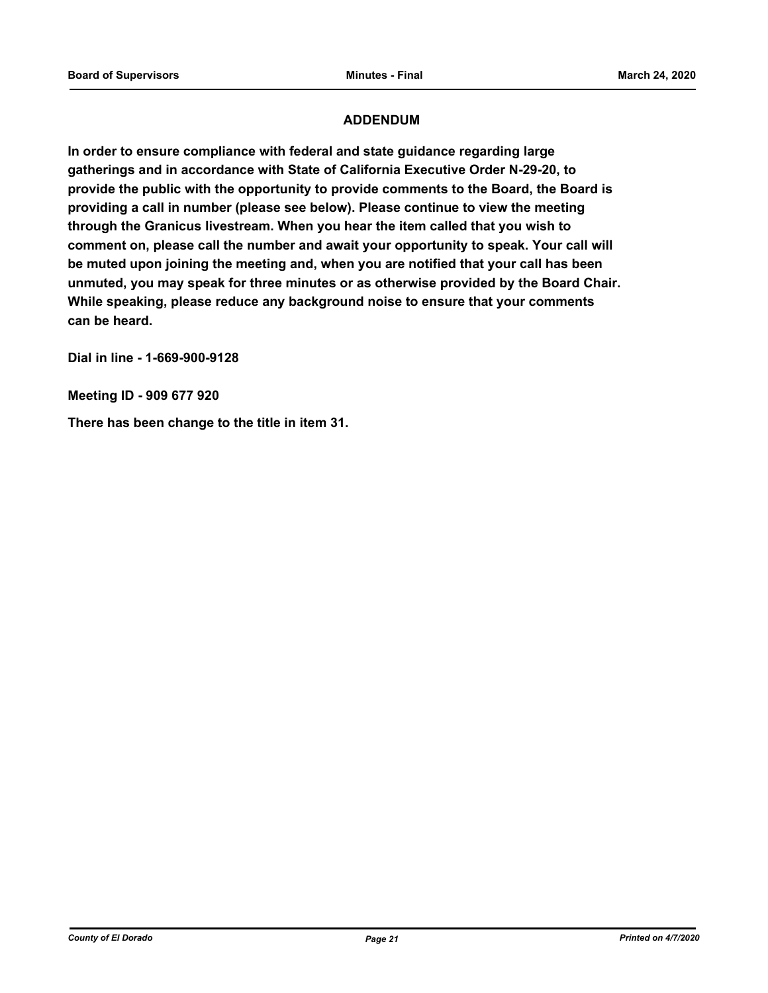## **ADDENDUM**

**In order to ensure compliance with federal and state guidance regarding large gatherings and in accordance with State of California Executive Order N-29-20, to provide the public with the opportunity to provide comments to the Board, the Board is providing a call in number (please see below). Please continue to view the meeting through the Granicus livestream. When you hear the item called that you wish to comment on, please call the number and await your opportunity to speak. Your call will be muted upon joining the meeting and, when you are notified that your call has been unmuted, you may speak for three minutes or as otherwise provided by the Board Chair. While speaking, please reduce any background noise to ensure that your comments can be heard.** 

**Dial in line - 1-669-900-9128**

**Meeting ID - 909 677 920**

**There has been change to the title in item 31.**